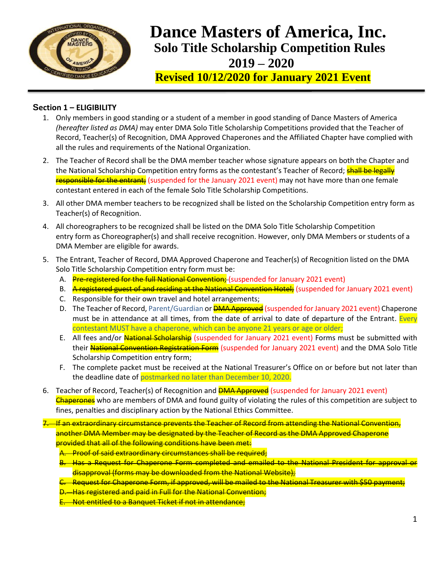

# **Solo Title Scholarship Competition Rules 2019 – 2020 Dance Masters of America, Inc.**

 **Revised 10/12/2020 for January 2021 Event**

# **Section 1 – ELIGIBILITY**

- 1. Only members in good standing or a student of a member in good standing of Dance Masters of America *(hereafter listed as DMA)* may enter DMA Solo Title Scholarship Competitions provided that the Teacher of Record, Teacher(s) of Recognition, DMA Approved Chaperones and the Affiliated Chapter have complied with all the rules and requirements of the National Organization.
- 2. The Teacher of Record shall be the DMA member teacher whose signature appears on both the Chapter and the National Scholarship Competition entry forms as the contestant's Teacher of Record; **shall be legally** responsible for the entrant; (suspended for the January 2021 event) may not have more than one female contestant entered in each of the female Solo Title Scholarship Competitions.
- 3. All other DMA member teachers to be recognized shall be listed on the Scholarship Competition entry form as Teacher(s) of Recognition.
- 4. All choreographers to be recognized shall be listed on the DMA Solo Title Scholarship Competition entry form as Choreographer(s) and shall receive recognition. However, only DMA Members or students of a DMA Member are eligible for awards.
- 5. The Entrant, Teacher of Record, DMA Approved Chaperone and Teacher(s) of Recognition listed on the DMA Solo Title Scholarship Competition entry form must be:
	- A. Pre-registered for the full National Convention; (suspended for January 2021 event)
	- B. A registered guest of and residing at the National Convention Hotel; (suspended for January 2021 event)
	- C. Responsible for their own travel and hotel arrangements;
	- D. The Teacher of Record, Parent/Guardian or **DMA Approved** (suspended for January 2021 event) Chaperone must be in attendance at all times, from the date of arrival to date of departure of the Entrant. Every contestant MUST have a chaperone, which can be anyone 21 years or age or older;
	- E. All fees and/or National Scholarship (suspended for January 2021 event) Forms must be submitted with their National Convention Registration Form (suspended for January 2021 event) and the DMA Solo Title Scholarship Competition entry form;
	- F. The complete packet must be received at the National Treasurer's Office on or before but not later than the deadline date of postmarked no later than December 10, 2020.
- 6. Teacher of Record, Teacher(s) of Recognition and **DMA Approved** (suspended for January 2021 event) Chaperones who are members of DMA and found guilty of violating the rules of this competition are subject to fines, penalties and disciplinary action by the National Ethics Committee.

7. If an extraordinary circumstance prevents the Teacher of Record from attending the National Convention, another DMA Member may be designated by the Teacher of Record as the DMA Approved Chaperone provided that all of the following conditions have been met:

- A. Proof of said extraordinary circumstances shall be required;
- B. Has a Request for Chaperone Form completed and emailed to the National President for approval or disapproval (forms may be downloaded from the National Website);
- C. Request for Chaperone Form, if approved, will be mailed to the National Treasurer with \$50 payment;
- D. Has registered and paid in Full for the National Convention;
- E. Not entitled to a Banquet Ticket if not in attendance;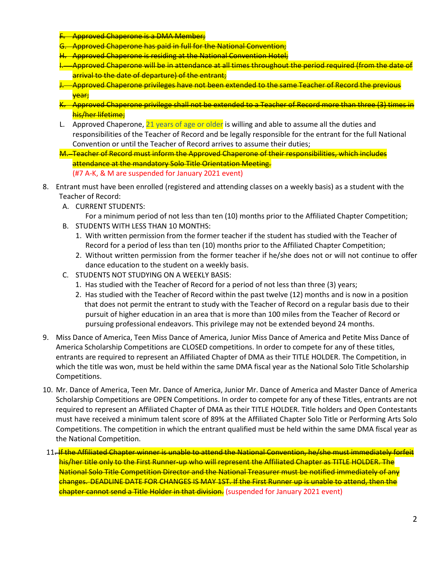- **Approved Chaperone is a DMA Member;**
- G. Approved Chaperone has paid in full for the National Convention;
- H. Approved Chaperone is residing at the National Convention Hotel;
- Approved Chaperone will be in attendance at all times throughout the period required (from the date of arrival to the date of departure) of the entrant;
- J. Approved Chaperone privileges have not been extended to the same Teacher of Record the previous year;
- K. Approved Chaperone privilege shall not be extended to a Teacher of Record more than three (3) times in his/her lifetime;
- L. Approved Chaperone, 21 years of age or older is willing and able to assume all the duties and responsibilities of the Teacher of Record and be legally responsible for the entrant for the full National Convention or until the Teacher of Record arrives to assume their duties;
- M. Teacher of Record must inform the Approved Chaperone of their responsibilities, which includes attendance at the mandatory Solo Title Orientation Meeting. (#7 A-K, & M are suspended for January 2021 event)
- 8. Entrant must have been enrolled (registered and attending classes on a weekly basis) as a student with the Teacher of Record:
	- A. CURRENT STUDENTS:
	- For a minimum period of not less than ten (10) months prior to the Affiliated Chapter Competition; B. STUDENTS WITH LESS THAN 10 MONTHS:
		- 1. With written permission from the former teacher if the student has studied with the Teacher of Record for a period of less than ten (10) months prior to the Affiliated Chapter Competition;
		- 2. Without written permission from the former teacher if he/she does not or will not continue to offer dance education to the student on a weekly basis.
	- C. STUDENTS NOT STUDYING ON A WEEKLY BASIS:
		- 1. Has studied with the Teacher of Record for a period of not less than three (3) years;
		- 2. Has studied with the Teacher of Record within the past twelve (12) months and is now in a position that does not permit the entrant to study with the Teacher of Record on a regular basis due to their pursuit of higher education in an area that is more than 100 miles from the Teacher of Record or pursuing professional endeavors. This privilege may not be extended beyond 24 months.
- 9. Miss Dance of America, Teen Miss Dance of America, Junior Miss Dance of America and Petite Miss Dance of America Scholarship Competitions are CLOSED competitions. In order to compete for any of these titles, entrants are required to represent an Affiliated Chapter of DMA as their TITLE HOLDER. The Competition, in which the title was won, must be held within the same DMA fiscal year as the National Solo Title Scholarship Competitions.
- 10. Mr. Dance of America, Teen Mr. Dance of America, Junior Mr. Dance of America and Master Dance of America Scholarship Competitions are OPEN Competitions. In order to compete for any of these Titles, entrants are not required to represent an Affiliated Chapter of DMA as their TITLE HOLDER. Title holders and Open Contestants must have received a minimum talent score of 89% at the Affiliated Chapter Solo Title or Performing Arts Solo Competitions. The competition in which the entrant qualified must be held within the same DMA fiscal year as the National Competition.
- 11. If the Affiliated Chapter winner is unable to attend the National Convention, he/she must immediately forfeit his/her title only to the First Runner-up who will represent the Affiliated Chapter as TITLE HOLDER. The National Solo Title Competition Director and the National Treasurer must be notified immediately of any changes. DEADLINE DATE FOR CHANGES IS MAY 1ST. If the First Runner up is unable to attend, then the chapter cannot send a Title Holder in that division. (suspended for January 2021 event)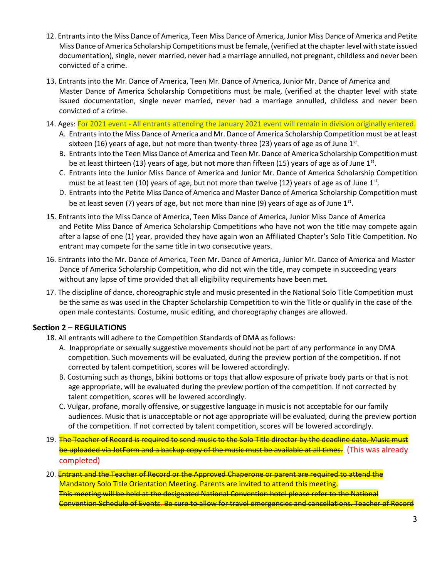- 12. Entrants into the Miss Dance of America, Teen Miss Dance of America, Junior Miss Dance of America and Petite Miss Dance of America Scholarship Competitions must be female, (verified at the chapter level with state issued documentation), single, never married, never had a marriage annulled, not pregnant, childless and never been convicted of a crime.
- 13. Entrants into the Mr. Dance of America, Teen Mr. Dance of America, Junior Mr. Dance of America and Master Dance of America Scholarship Competitions must be male, (verified at the chapter level with state issued documentation, single never married, never had a marriage annulled, childless and never been convicted of a crime.
- 14. Ages: For 2021 event All entrants attending the January 2021 event will remain in division originally entered.
	- A. Entrants into the Miss Dance of America and Mr. Dance of America Scholarship Competition must be at least sixteen (16) years of age, but not more than twenty-three (23) years of age as of June  $1<sup>st</sup>$ .
	- B. Entrants into the Teen Miss Dance of America and Teen Mr. Dance of America Scholarship Competition must be at least thirteen (13) years of age, but not more than fifteen (15) years of age as of June 1<sup>st</sup>.
	- C. Entrants into the Junior Miss Dance of America and Junior Mr. Dance of America Scholarship Competition must be at least ten (10) years of age, but not more than twelve (12) years of age as of June 1st.
	- D. Entrants into the Petite Miss Dance of America and Master Dance of America Scholarship Competition must be at least seven (7) years of age, but not more than nine (9) years of age as of June  $1<sup>st</sup>$ .
- 15. Entrants into the Miss Dance of America, Teen Miss Dance of America, Junior Miss Dance of America and Petite Miss Dance of America Scholarship Competitions who have not won the title may compete again after a lapse of one (1) year, provided they have again won an Affiliated Chapter's Solo Title Competition. No entrant may compete for the same title in two consecutive years.
- 16. Entrants into the Mr. Dance of America, Teen Mr. Dance of America, Junior Mr. Dance of America and Master Dance of America Scholarship Competition, who did not win the title, may compete in succeeding years without any lapse of time provided that all eligibility requirements have been met.
- 17. The discipline of dance, choreographic style and music presented in the National Solo Title Competition must be the same as was used in the Chapter Scholarship Competition to win the Title or qualify in the case of the open male contestants. Costume, music editing, and choreography changes are allowed.

# **Section 2 – REGULATIONS**

- 18. All entrants will adhere to the Competition Standards of DMA as follows:
	- A. Inappropriate or sexually suggestive movements should not be part of any performance in any DMA competition. Such movements will be evaluated, during the preview portion of the competition. If not corrected by talent competition, scores will be lowered accordingly.
	- B. Costuming such as thongs, bikini bottoms or tops that allow exposure of private body parts or that is not age appropriate, will be evaluated during the preview portion of the competition. If not corrected by talent competition, scores will be lowered accordingly.
	- C. Vulgar, profane, morally offensive, or suggestive language in music is not acceptable for our family audiences. Music that is unacceptable or not age appropriate will be evaluated, during the preview portion of the competition. If not corrected by talent competition, scores will be lowered accordingly.
- 19. The Teacher of Record is required to send music to the Solo Title director by the deadline date. Music must be uploaded via JotForm and a backup copy of the music must be available at all times. (This was already completed)
- 20. Entrant and the Teacher of Record or the Approved Chaperone or parent are required to attend the Mandatory Solo Title Orientation Meeting. Parents are invited to attend this meeting. This meeting will be held at the designated National Convention hotel please refer to the National Convention Schedule of Events. Be sure to allow for travel emergencies and cancellations. Teacher of Record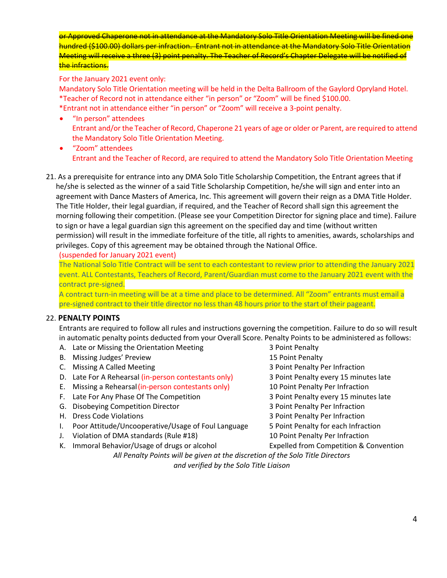or Approved Chaperone not in attendance at the Mandatory Solo Title Orientation Meeting will be fined one hundred (\$100.00) dollars per infraction. Entrant not in attendance at the Mandatory Solo Title Orientation Meeting will receive a three (3) point penalty. The Teacher of Record's Chapter Delegate will be notified of the infractions.

For the January 2021 event only:

Mandatory Solo Title Orientation meeting will be held in the Delta Ballroom of the Gaylord Opryland Hotel. \*Teacher of Record not in attendance either "in person" or "Zoom" will be fined \$100.00.

- \*Entrant not in attendance either "in person" or "Zoom" will receive a 3-point penalty.
- "In person" attendees Entrant and/or the Teacher of Record, Chaperone 21 years of age or older or Parent, are required to attend the Mandatory Solo Title Orientation Meeting.
- "Zoom" attendees Entrant and the Teacher of Record, are required to attend the Mandatory Solo Title Orientation Meeting
- 21. As a prerequisite for entrance into any DMA Solo Title Scholarship Competition, the Entrant agrees that if he/she is selected as the winner of a said Title Scholarship Competition, he/she will sign and enter into an agreement with Dance Masters of America, Inc. This agreement will govern their reign as a DMA Title Holder. The Title Holder, their legal guardian, if required, and the Teacher of Record shall sign this agreement the morning following their competition. (Please see your Competition Director for signing place and time). Failure to sign or have a legal guardian sign this agreement on the specified day and time (without written permission) will result in the immediate forfeiture of the title, all rights to amenities, awards, scholarships and privileges. Copy of this agreement may be obtained through the National Office.

(suspended for January 2021 event)

The National Solo Title Contract will be sent to each contestant to review prior to attending the January 2021 event. ALL Contestants, Teachers of Record, Parent/Guardian must come to the January 2021 event with the contract pre-signed.

A contract turn-in meeting will be at a time and place to be determined. All "Zoom" entrants must email a pre-signed contract to their title director no less than 48 hours prior to the start of their pageant.

# 22. **PENALTY POINTS**

Entrants are required to follow all rules and instructions governing the competition. Failure to do so will result in automatic penalty points deducted from your Overall Score. Penalty Points to be administered as follows:

- A. Late or Missing the Orientation Meeting The State 3 Point Penalty
- B. Missing Judges' Preview 15 Point Penalty
- 
- D. Late For A Rehearsal (in-person contestants only) 3 Point Penalty every 15 minutes late
- E. Missing a Rehearsal(in-person contestants only) 10 Point Penalty Per Infraction
- F. Late For Any Phase Of The Competition **3 Point Penalty every 15 minutes late**
- 
- 
- I. Poor Attitude/Uncooperative/Usage of Foul Language 5 Point Penalty for each Infraction
- J. Violation of DMA standards (Rule #18) 10 Point Penalty Per Infraction
- K. Immoral Behavior/Usage of drugs or alcohol Expelled from Competition & Convention
- C. Missing A Called Meeting The State of the Second 19 and 19 and 19 and 19 and 19 and 19 and 19 and 19 and 19 and 19 and 19 and 19 and 19 and 19 and 19 and 19 and 19 and 19 and 19 and 19 and 19 and 19 and 19 and 19 and 19 G. Disobeying Competition Director 3 Point Penalty Per Infraction H. Dress Code Violations 3 Point Penalty Per Infraction

*All Penalty Points will be given at the discretion of the Solo Title Directors and verified by the Solo Title Liaison*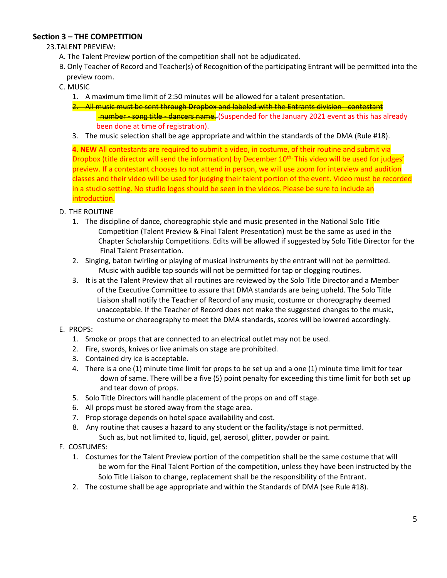# **Section 3 – THE COMPETITION**

# 23.TALENT PREVIEW:

- A. The Talent Preview portion of the competition shall not be adjudicated.
- B. Only Teacher of Record and Teacher(s) of Recognition of the participating Entrant will be permitted into the preview room.
- C. MUSIC
	- 1. A maximum time limit of 2:50 minutes will be allowed for a talent presentation.
	- 2. All music must be sent through Dropbox and labeled with the Entrants division contestant number - song title - dancers name. (Suspended for the January 2021 event as this has already been done at time of registration).
	- 3. The music selection shall be age appropriate and within the standards of the DMA (Rule #18).

**4. NEW** All contestants are required to submit a video, in costume, of their routine and submit via Dropbox (title director will send the information) by December 10<sup>th.</sup> This video will be used for judges' preview. If a contestant chooses to not attend in person, we will use zoom for interview and audition classes and their video will be used for judging their talent portion of the event. Video must be recorded in a studio setting. No studio logos should be seen in the videos. Please be sure to include an introduction.

- D. THE ROUTINE
	- 1. The discipline of dance, choreographic style and music presented in the National Solo Title Competition (Talent Preview & Final Talent Presentation) must be the same as used in the Chapter Scholarship Competitions. Edits will be allowed if suggested by Solo Title Director for the Final Talent Presentation.
	- 2. Singing, baton twirling or playing of musical instruments by the entrant will not be permitted. Music with audible tap sounds will not be permitted for tap or clogging routines.
	- 3. It is at the Talent Preview that all routines are reviewed by the Solo Title Director and a Member of the Executive Committee to assure that DMA standards are being upheld. The Solo Title Liaison shall notify the Teacher of Record of any music, costume or choreography deemed unacceptable. If the Teacher of Record does not make the suggested changes to the music, costume or choreography to meet the DMA standards, scores will be lowered accordingly.
- E. PROPS:
	- 1. Smoke or props that are connected to an electrical outlet may not be used.
	- 2. Fire, swords, knives or live animals on stage are prohibited.
	- 3. Contained dry ice is acceptable.
	- 4. There is a one (1) minute time limit for props to be set up and a one (1) minute time limit for tear down of same. There will be a five (5) point penalty for exceeding this time limit for both set up and tear down of props.
	- 5. Solo Title Directors will handle placement of the props on and off stage.
	- 6. All props must be stored away from the stage area.
	- 7. Prop storage depends on hotel space availability and cost.
	- 8. Any routine that causes a hazard to any student or the facility/stage is not permitted. Such as, but not limited to, liquid, gel, aerosol, glitter, powder or paint.
- F. COSTUMES:
	- 1. Costumes for the Talent Preview portion of the competition shall be the same costume that will be worn for the Final Talent Portion of the competition, unless they have been instructed by the Solo Title Liaison to change, replacement shall be the responsibility of the Entrant.
	- 2. The costume shall be age appropriate and within the Standards of DMA (see Rule #18).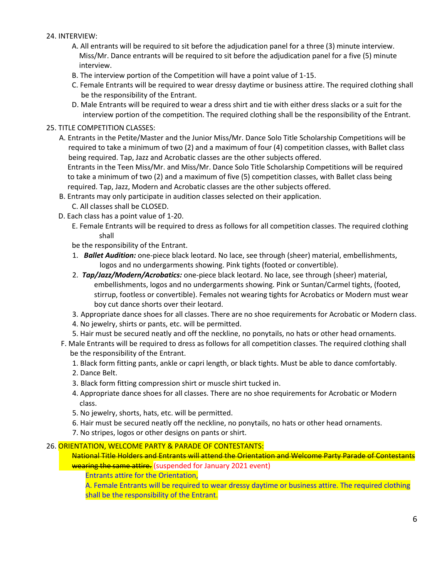# 24. INTERVIEW:

- A. All entrants will be required to sit before the adjudication panel for a three (3) minute interview. Miss/Mr. Dance entrants will be required to sit before the adjudication panel for a five (5) minute interview.
- B. The interview portion of the Competition will have a point value of 1-15.
- C. Female Entrants will be required to wear dressy daytime or business attire. The required clothing shall be the responsibility of the Entrant.
- D. Male Entrants will be required to wear a dress shirt and tie with either dress slacks or a suit for the interview portion of the competition. The required clothing shall be the responsibility of the Entrant.

#### 25. TITLE COMPETITION CLASSES:

A. Entrants in the Petite/Master and the Junior Miss/Mr. Dance Solo Title Scholarship Competitions will be required to take a minimum of two (2) and a maximum of four (4) competition classes, with Ballet class being required. Tap, Jazz and Acrobatic classes are the other subjects offered.

Entrants in the Teen Miss/Mr. and Miss/Mr. Dance Solo Title Scholarship Competitions will be required to take a minimum of two (2) and a maximum of five (5) competition classes, with Ballet class being required. Tap, Jazz, Modern and Acrobatic classes are the other subjects offered.

B. Entrants may only participate in audition classes selected on their application.

C. All classes shall be CLOSED.

- D. Each class has a point value of 1-20.
	- E. Female Entrants will be required to dress as follows for all competition classes. The required clothing shall

be the responsibility of the Entrant.

- 1. *Ballet Audition:* one-piece black leotard. No lace, see through (sheer) material, embellishments, logos and no undergarments showing. Pink tights (footed or convertible).
- 2. *Tap/Jazz/Modern/Acrobatics:* one-piece black leotard. No lace, see through (sheer) material, embellishments, logos and no undergarments showing. Pink or Suntan/Carmel tights, (footed, stirrup, footless or convertible). Females not wearing tights for Acrobatics or Modern must wear boy cut dance shorts over their leotard.
- 3. Appropriate dance shoes for all classes. There are no shoe requirements for Acrobatic or Modern class.
- 4. No jewelry, shirts or pants, etc. will be permitted.
- 5. Hair must be secured neatly and off the neckline, no ponytails, no hats or other head ornaments.
- F. Male Entrants will be required to dress as follows for all competition classes. The required clothing shall be the responsibility of the Entrant.
	- 1. Black form fitting pants, ankle or capri length, or black tights. Must be able to dance comfortably.
	- 2. Dance Belt.
	- 3. Black form fitting compression shirt or muscle shirt tucked in.
	- 4. Appropriate dance shoes for all classes. There are no shoe requirements for Acrobatic or Modern class.
	- 5. No jewelry, shorts, hats, etc. will be permitted.
	- 6. Hair must be secured neatly off the neckline, no ponytails, no hats or other head ornaments.
	- 7. No stripes, logos or other designs on pants or shirt.

#### 26. ORIENTATION, WELCOME PARTY & PARADE OF CONTESTANTS:

 National Title Holders and Entrants will attend the Orientation and Welcome Party Parade of Contestants wearing the same attire. (suspended for January 2021 event)

Entrants attire for the Orientation,

A. Female Entrants will be required to wear dressy daytime or business attire. The required clothing shall be the responsibility of the Entrant.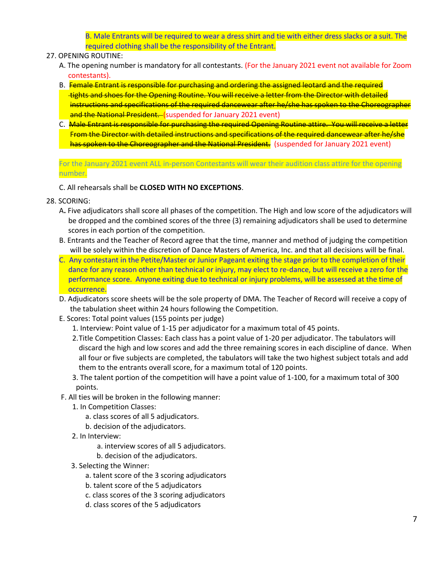B. Male Entrants will be required to wear a dress shirt and tie with either dress slacks or a suit. The required clothing shall be the responsibility of the Entrant.

#### 27. OPENING ROUTINE:

- A. The opening number is mandatory for all contestants. (For the January 2021 event not available for Zoom contestants).
- B. Female Entrant is responsible for purchasing and ordering the assigned leotard and the required tights and shoes for the Opening Routine. You will receive a letter from the Director with detailed instructions and specifications of the required dancewear after he/she has spoken to the Choreographer and the National President. (suspended for January 2021 event)
- C. Male Entrant is responsible for purchasing the required Opening Routine attire. You will receive a letter From the Director with detailed instructions and specifications of the required dancewear after he/she has spoken to the Choreographer and the National President. (suspended for January 2021 event)

For the January 2021 event ALL in-person Contestants will wear their audition class attire for the opening number.

C. All rehearsals shall be **CLOSED WITH NO EXCEPTIONS**.

- 28. SCORING:
	- A**.** Five adjudicators shall score all phases of the competition. The High and low score of the adjudicators will be dropped and the combined scores of the three (3) remaining adjudicators shall be used to determine scores in each portion of the competition.
	- B. Entrants and the Teacher of Record agree that the time, manner and method of judging the competition will be solely within the discretion of Dance Masters of America, Inc. and that all decisions will be final.
	- C. Any contestant in the Petite/Master or Junior Pageant exiting the stage prior to the completion of their dance for any reason other than technical or injury, may elect to re-dance, but will receive a zero for the performance score. Anyone exiting due to technical or injury problems, will be assessed at the time of occurrence.
	- D. Adjudicators score sheets will be the sole property of DMA. The Teacher of Record will receive a copy of the tabulation sheet within 24 hours following the Competition.
	- E. Scores: Total point values (155 points per judge)

1. Interview: Point value of 1-15 per adjudicator for a maximum total of 45 points.

- 2.Title Competition Classes: Each class has a point value of 1-20 per adjudicator. The tabulators will discard the high and low scores and add the three remaining scores in each discipline of dance. When all four or five subjects are completed, the tabulators will take the two highest subject totals and add them to the entrants overall score, for a maximum total of 120 points.
- 3. The talent portion of the competition will have a point value of 1-100, for a maximum total of 300 points.
- F. All ties will be broken in the following manner:
	- 1. In Competition Classes:
		- a. class scores of all 5 adjudicators.
		- b. decision of the adjudicators.
	- 2. In Interview:
		- a. interview scores of all 5 adjudicators.
		- b. decision of the adjudicators.
	- 3. Selecting the Winner:
		- a. talent score of the 3 scoring adjudicators
		- b. talent score of the 5 adjudicators
		- c. class scores of the 3 scoring adjudicators
		- d. class scores of the 5 adjudicators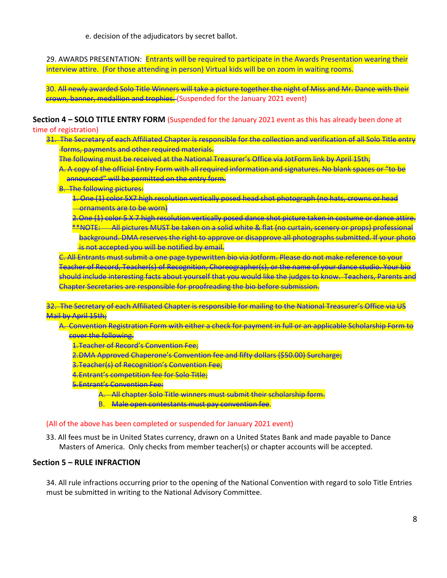e. decision of the adjudicators by secret ballot.

29. AWARDS PRESENTATION: Entrants will be required to participate in the Awards Presentation wearing their interview attire. (For those attending in person) Virtual kids will be on zoom in waiting rooms.

30. All newly awarded Solo Title Winners will take a picture together the night of Miss and Mr. Dance with their crown, banner, medallion and trophies. (Suspended for the January 2021 event)

**Section 4 – SOLO TITLE ENTRY FORM** (Suspended for the January 2021 event as this has already been done at time of registration)

- 31. The Secretary of each Affiliated Chapter is responsible for the collection and verification of all Solo Title entry forms, payments and other required materials.
	- The following must be received at the National Treasurer's Office via JotForm link by April 15th;
	- A. A copy of the official Entry Form with all required information and signatures. No blank spaces or "to be announced" will be permitted on the entry form.
	- B. The following pictures:
		- 1. One (1) color 5X7 high resolution vertically posed head shot photograph (no hats, crowns or head ornaments are to be worn)
		- 2.One (1) color 5 X 7 high resolution vertically posed dance shot picture taken in costume or dance attire. \*\*NOTE: All pictures MUST be taken on a solid white & flat (no curtain, scenery or props) professional background. DMA reserves the right to approve or disapprove all photographs submitted. If your photo is not accepted you will be notified by email.

C. All Entrants must submit a one page typewritten bio via Jotform. Please do not make reference to your Teacher of Record, Teacher(s) of Recognition, Choreographer(s), or the name of your dance studio. Your bio should include interesting facts about yourself that you would like the judges to know. Teachers, Parents and Chapter Secretaries are responsible for proofreading the bio before submission.

32. The Secretary of each Affiliated Chapter is responsible for mailing to the National Treasurer's Office via US Mail by April 15th;

- A. Convention Registration Form with either a check for payment in full or an applicable Scholarship Form to cover the following.
	- 1.Teacher of Record's Convention Fee;
	- 2.DMA Approved Chaperone's Convention fee and fifty dollars (\$50.00) Surcharge;
	- 3.Teacher(s) of Recognition's Convention Fee;
	- 4.Entrant's competition fee for Solo Title;
	- 5.Entrant's Convention Fee:
		- A. All chapter Solo Title winners must submit their scholarship form.
		- B. Male open contestants must pay convention fee.

#### (All of the above has been completed or suspended for January 2021 event)

33. All fees must be in United States currency, drawn on a United States Bank and made payable to Dance Masters of America. Only checks from member teacher(s) or chapter accounts will be accepted.

#### **Section 5 – RULE INFRACTION**

34. All rule infractions occurring prior to the opening of the National Convention with regard to solo Title Entries must be submitted in writing to the National Advisory Committee.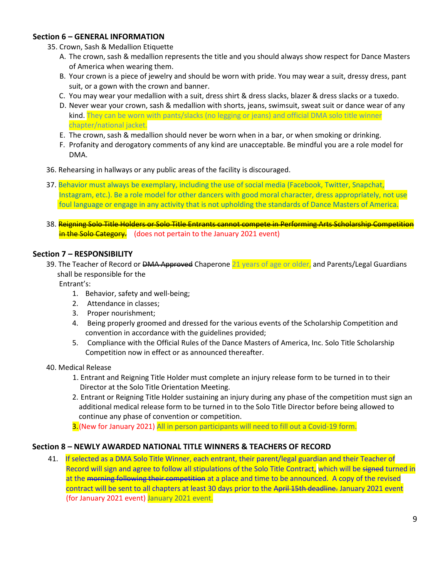# **Section 6 – GENERAL INFORMATION**

- 35. Crown, Sash & Medallion Etiquette
	- A. The crown, sash & medallion represents the title and you should always show respect for Dance Masters of America when wearing them.
	- B. Your crown is a piece of jewelry and should be worn with pride. You may wear a suit, dressy dress, pant suit, or a gown with the crown and banner.
	- C. You may wear your medallion with a suit, dress shirt & dress slacks, blazer & dress slacks or a tuxedo.
	- D. Never wear your crown, sash & medallion with shorts, jeans, swimsuit, sweat suit or dance wear of any kind. They can be worn with pants/slacks (no legging or jeans) and official DMA solo title winner chapter/national jacket.
	- E. The crown, sash & medallion should never be worn when in a bar, or when smoking or drinking.
	- F. Profanity and derogatory comments of any kind are unacceptable. Be mindful you are a role model for DMA.
- 36. Rehearsing in hallways or any public areas of the facility is discouraged.
- 37. Behavior must always be exemplary, including the use of social media (Facebook, Twitter, Snapchat, Instagram, etc.). Be a role model for other dancers with good moral character, dress appropriately, not use foul language or engage in any activity that is not upholding the standards of Dance Masters of America.
- 38. Reigning Solo Title Holders or Solo Title Entrants cannot compete in Performing Arts Scholarship Competition in the Solo Category. (does not pertain to the January 2021 event)

# **Section 7 – RESPONSIBILITY**

39. The Teacher of Record or DMA Approved Chaperone 21 years of age or older, and Parents/Legal Guardians shall be responsible for the

Entrant's:

- 1. Behavior, safety and well-being;
- 2. Attendance in classes;
- 3. Proper nourishment;
- 4. Being properly groomed and dressed for the various events of the Scholarship Competition and convention in accordance with the guidelines provided;
- 5. Compliance with the Official Rules of the Dance Masters of America, Inc. Solo Title Scholarship Competition now in effect or as announced thereafter.
- 40. Medical Release
	- 1. Entrant and Reigning Title Holder must complete an injury release form to be turned in to their Director at the Solo Title Orientation Meeting.
	- 2. Entrant or Reigning Title Holder sustaining an injury during any phase of the competition must sign an additional medical release form to be turned in to the Solo Title Director before being allowed to continue any phase of convention or competition.

3. (New for January 2021) All in person participants will need to fill out a Covid-19 form.

# **Section 8 – NEWLY AWARDED NATIONAL TITLE WINNERS & TEACHERS OF RECORD**

41. If selected as a DMA Solo Title Winner, each entrant, their parent/legal guardian and their Teacher of Record will sign and agree to follow all stipulations of the Solo Title Contract, which will be signed turned in at the morning following their competition at a place and time to be announced. A copy of the revised contract will be sent to all chapters at least 30 days prior to the April 15th deadline. January 2021 event (for January 2021 event) January 2021 event.